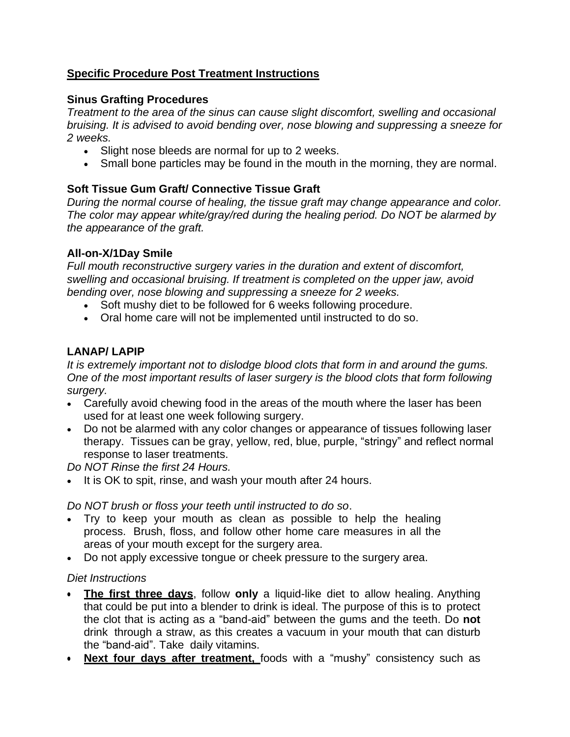## **Specific Procedure Post Treatment Instructions**

## **Sinus Grafting Procedures**

*Treatment to the area of the sinus can cause slight discomfort, swelling and occasional bruising. It is advised to avoid bending over, nose blowing and suppressing a sneeze for 2 weeks.*

- Slight nose bleeds are normal for up to 2 weeks.
- Small bone particles may be found in the mouth in the morning, they are normal.

# **Soft Tissue Gum Graft/ Connective Tissue Graft**

*During the normal course of healing, the tissue graft may change appearance and color. The color may appear white/gray/red during the healing period. Do NOT be alarmed by the appearance of the graft.*

## **All-on-X/1Day Smile**

*Full mouth reconstructive surgery varies in the duration and extent of discomfort, swelling and occasional bruising. If treatment is completed on the upper jaw, avoid bending over, nose blowing and suppressing a sneeze for 2 weeks.*

- Soft mushy diet to be followed for 6 weeks following procedure.
- Oral home care will not be implemented until instructed to do so.

# **LANAP/ LAPIP**

*It is extremely important not to dislodge blood clots that form in and around the gums. One of the most important results of laser surgery is the blood clots that form following surgery.*

- Carefully avoid chewing food in the areas of the mouth where the laser has been used for at least one week following surgery.
- Do not be alarmed with any color changes or appearance of tissues following laser therapy. Tissues can be gray, yellow, red, blue, purple, "stringy" and reflect normal response to laser treatments.

*Do NOT Rinse the first 24 Hours.* 

• It is OK to spit, rinse, and wash your mouth after 24 hours.

*Do NOT brush or floss your teeth until instructed to do so*.

- Try to keep your mouth as clean as possible to help the healing process. Brush, floss, and follow other home care measures in all the areas of your mouth except for the surgery area.
- Do not apply excessive tongue or cheek pressure to the surgery area.

# *Diet Instructions*

- **The first three days**, follow **only** a liquid-like diet to allow healing. Anything that could be put into a blender to drink is ideal. The purpose of this is to protect the clot that is acting as a "band-aid" between the gums and the teeth. Do **not** drink through a straw, as this creates a vacuum in your mouth that can disturb the "band-aid". Take daily vitamins.
- **Next four days after treatment,** foods with a "mushy" consistency such as